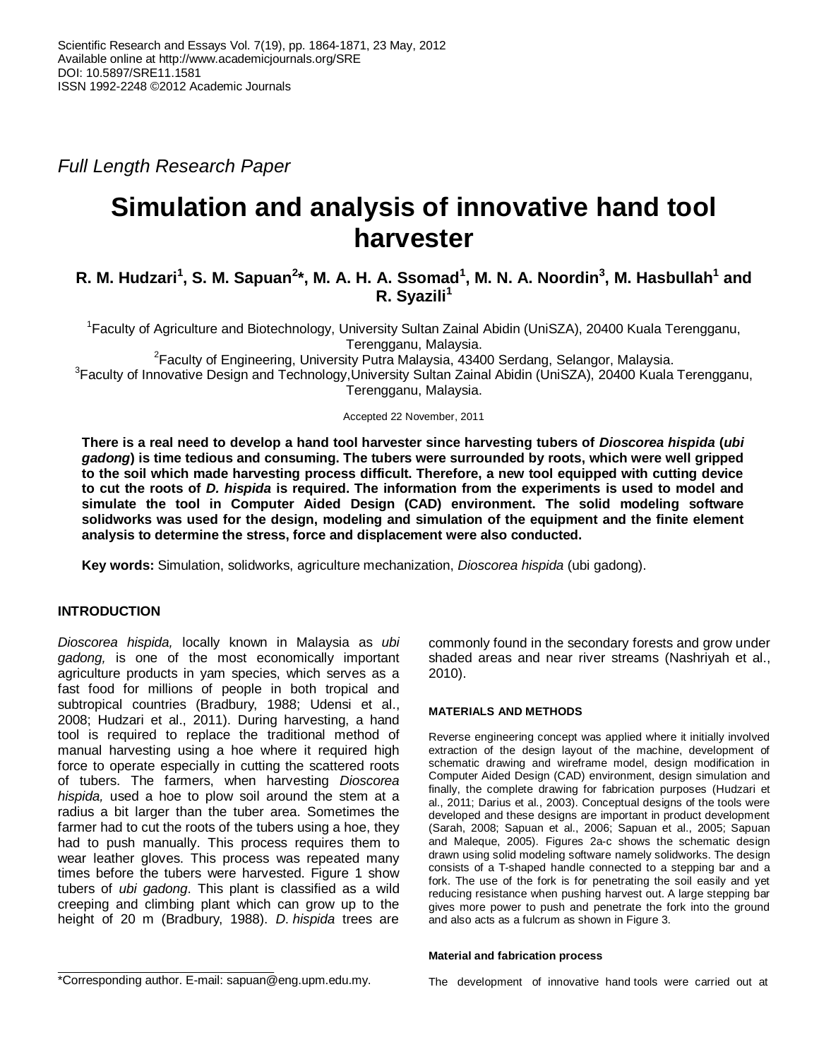*Full Length Research Paper*

# **Simulation and analysis of innovative hand tool harvester**

## R. M. Hudzari<sup>1</sup>, S. M. Sapuan<sup>2</sup>\*, M. A. H. A. Ssomad<sup>1</sup>, M. N. A. Noordin<sup>3</sup>, M. Hasbullah<sup>1</sup> and **R. Syazili<sup>1</sup>**

<sup>1</sup> Faculty of Agriculture and Biotechnology, University Sultan Zainal Abidin (UniSZA), 20400 Kuala Terengganu, Terengganu, Malaysia.

 $2$ Faculty of Engineering, University Putra Malaysia, 43400 Serdang, Selangor, Malaysia.

<sup>3</sup>Faculty of Innovative Design and Technology,University Sultan Zainal Abidin (UniSZA), 20400 Kuala Terengganu, Terengganu, Malaysia.

Accepted 22 November, 2011

**There is a real need to develop a hand tool harvester since harvesting tubers of** *Dioscorea hispida* **(***ubi gadong***) is time tedious and consuming. The tubers were surrounded by roots, which were well gripped to the soil which made harvesting process difficult. Therefore, a new tool equipped with cutting device to cut the roots of** *D. hispida* **is required. The information from the experiments is used to model and simulate the tool in Computer Aided Design (CAD) environment. The solid modeling software solidworks was used for the design, modeling and simulation of the equipment and the finite element analysis to determine the stress, force and displacement were also conducted.** 

**Key words:** Simulation, solidworks, agriculture mechanization, *Dioscorea hispida* (ubi gadong).

### **INTRODUCTION**

*Dioscorea hispida,* locally known in Malaysia as *ubi gadong,* is one of the most economically important agriculture products in yam species, which serves as a fast food for millions of people in both tropical and subtropical countries (Bradbury, 1988; Udensi et al., 2008; Hudzari et al., 2011). During harvesting, a hand tool is required to replace the traditional method of manual harvesting using a hoe where it required high force to operate especially in cutting the scattered roots of tubers. The farmers, when harvesting *Dioscorea hispida,* used a hoe to plow soil around the stem at a radius a bit larger than the tuber area. Sometimes the farmer had to cut the roots of the tubers using a hoe, they had to push manually. This process requires them to wear leather gloves. This process was repeated many times before the tubers were harvested. Figure 1 show tubers of *ubi gadong*. This plant is classified as a wild creeping and climbing plant which can grow up to the height of 20 m (Bradbury, 1988). *D*. *hispida* trees are

commonly found in the secondary forests and grow under shaded areas and near river streams (Nashriyah et al., 2010).

#### **MATERIALS AND METHODS**

Reverse engineering concept was applied where it initially involved extraction of the design layout of the machine, development of schematic drawing and wireframe model, design modification in Computer Aided Design (CAD) environment, design simulation and finally, the complete drawing for fabrication purposes (Hudzari et al., 2011; Darius et al., 2003). Conceptual designs of the tools were developed and these designs are important in product development (Sarah, 2008; Sapuan et al., 2006; Sapuan et al., 2005; Sapuan and Maleque, 2005). Figures 2a-c shows the schematic design drawn using solid modeling software namely solidworks. The design consists of a T-shaped handle connected to a stepping bar and a fork. The use of the fork is for penetrating the soil easily and yet reducing resistance when pushing harvest out. A large stepping bar gives more power to push and penetrate the fork into the ground and also acts as a fulcrum as shown in Figure 3.

#### **Material and fabrication process**

The development of innovative hand tools were carried out at

<sup>\*</sup>Corresponding author. E-mail: sapuan@eng.upm.edu.my.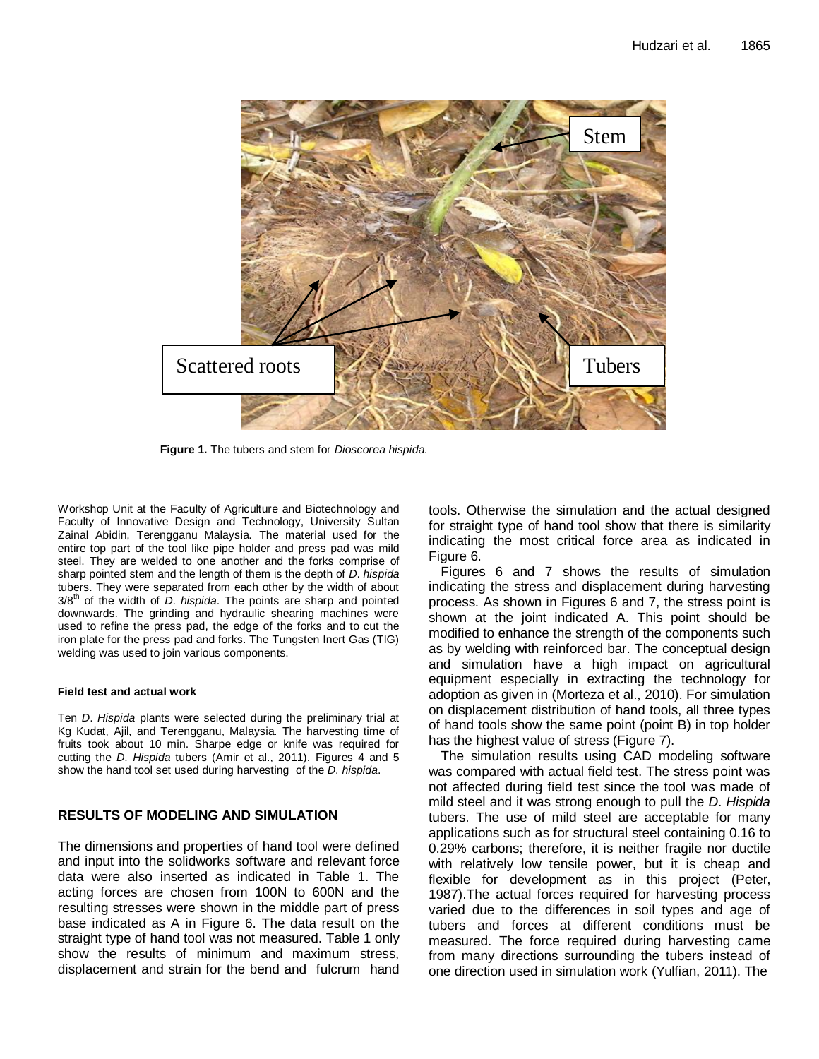

**Figure 1.** The tubers and stem for *Dioscorea hispida.*

Workshop Unit at the Faculty of Agriculture and Biotechnology and Faculty of Innovative Design and Technology, University Sultan Zainal Abidin, Terengganu Malaysia. The material used for the entire top part of the tool like pipe holder and press pad was mild steel. They are welded to one another and the forks comprise of sharp pointed stem and the length of them is the depth of *D*. *hispida* tubers. They were separated from each other by the width of about 3/8th of the width of *D*. *hispida*. The points are sharp and pointed downwards. The grinding and hydraulic shearing machines were used to refine the press pad, the edge of the forks and to cut the iron plate for the press pad and forks. The Tungsten Inert Gas (TIG) welding was used to join various components.

#### **Field test and actual work**

Ten *D*. *Hispida* plants were selected during the preliminary trial at Kg Kudat, Ajil, and Terengganu, Malaysia. The harvesting time of fruits took about 10 min. Sharpe edge or knife was required for cutting the *D*. *Hispida* tubers (Amir et al., 2011). Figures 4 and 5 show the hand tool set used during harvesting of the *D*. *hispida*.

#### **RESULTS OF MODELING AND SIMULATION**

The dimensions and properties of hand tool were defined and input into the solidworks software and relevant force data were also inserted as indicated in Table 1. The acting forces are chosen from 100N to 600N and the resulting stresses were shown in the middle part of press base indicated as A in Figure 6. The data result on the straight type of hand tool was not measured. Table 1 only show the results of minimum and maximum stress, displacement and strain for the bend and fulcrum hand tools. Otherwise the simulation and the actual designed for straight type of hand tool show that there is similarity indicating the most critical force area as indicated in Figure 6.

Figures 6 and 7 shows the results of simulation indicating the stress and displacement during harvesting process. As shown in Figures 6 and 7, the stress point is shown at the joint indicated A. This point should be modified to enhance the strength of the components such as by welding with reinforced bar. The conceptual design and simulation have a high impact on agricultural equipment especially in extracting the technology for adoption as given in (Morteza et al., 2010). For simulation on displacement distribution of hand tools, all three types of hand tools show the same point (point B) in top holder has the highest value of stress (Figure 7).

The simulation results using CAD modeling software was compared with actual field test. The stress point was not affected during field test since the tool was made of mild steel and it was strong enough to pull the *D*. *Hispida* tubers. The use of mild steel are acceptable for many applications such as for structural steel containing 0.16 to 0.29% carbons; therefore, it is neither fragile nor [ductile](http://en.wikipedia.org/wiki/Ductile) with relatively low tensile power, but it is cheap and flexible for development as in this project (Peter, 1987).The actual forces required for harvesting process varied due to the differences in soil types and age of tubers and forces at different conditions must be measured. The force required during harvesting came from many directions surrounding the tubers instead of one direction used in simulation work (Yulfian, 2011). The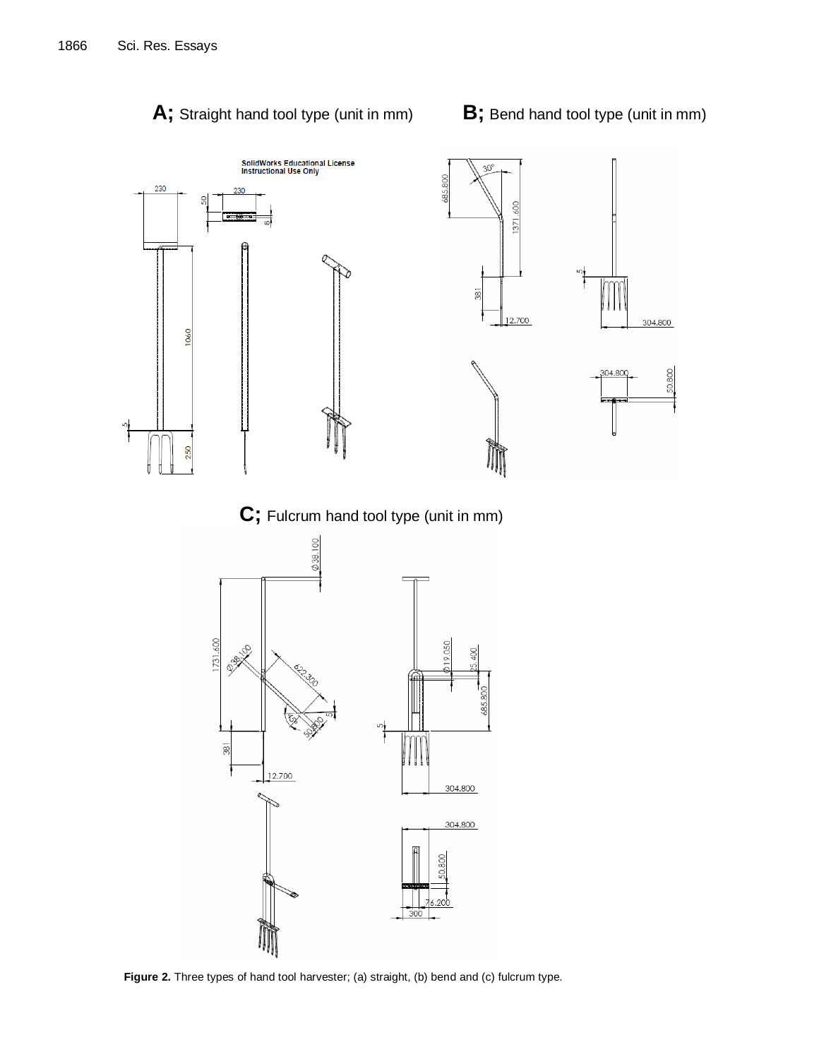

**Figure 2.** Three types of hand tool harvester; (a) straight, (b) bend and (c) fulcrum type.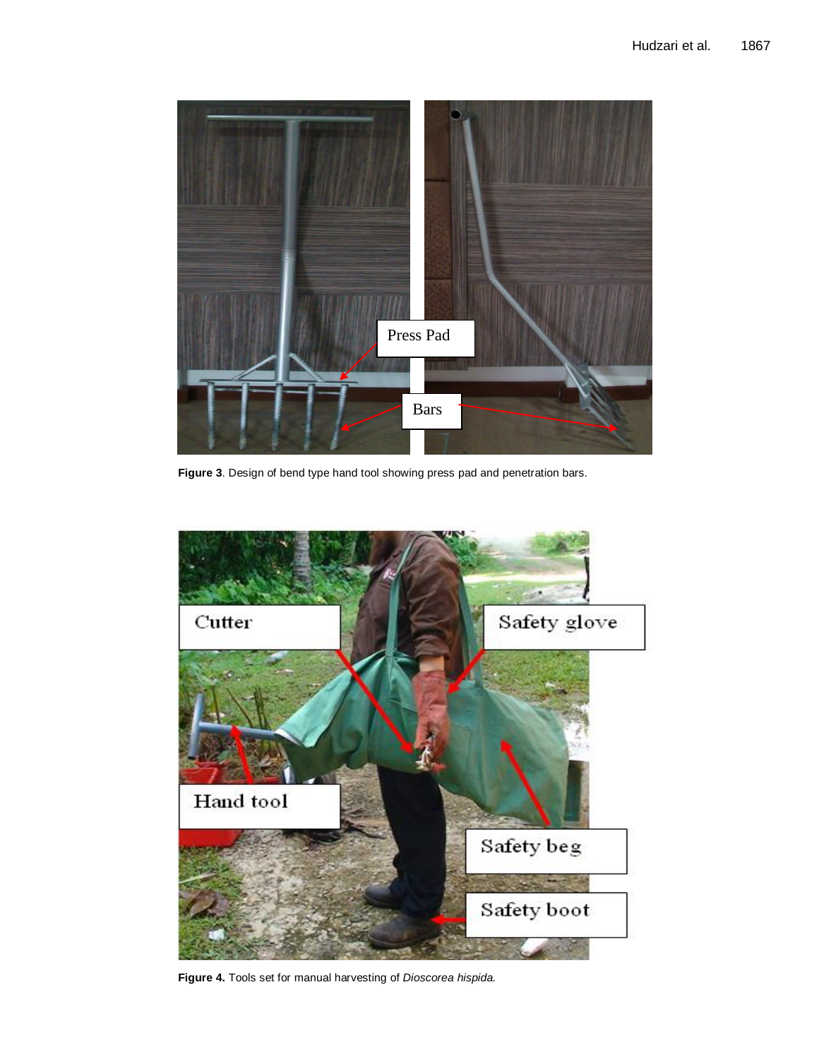

**Figure 3**. Design of bend type hand tool showing press pad and penetration bars.



**Figure 4.** Tools set for manual harvesting of *Dioscorea hispida.*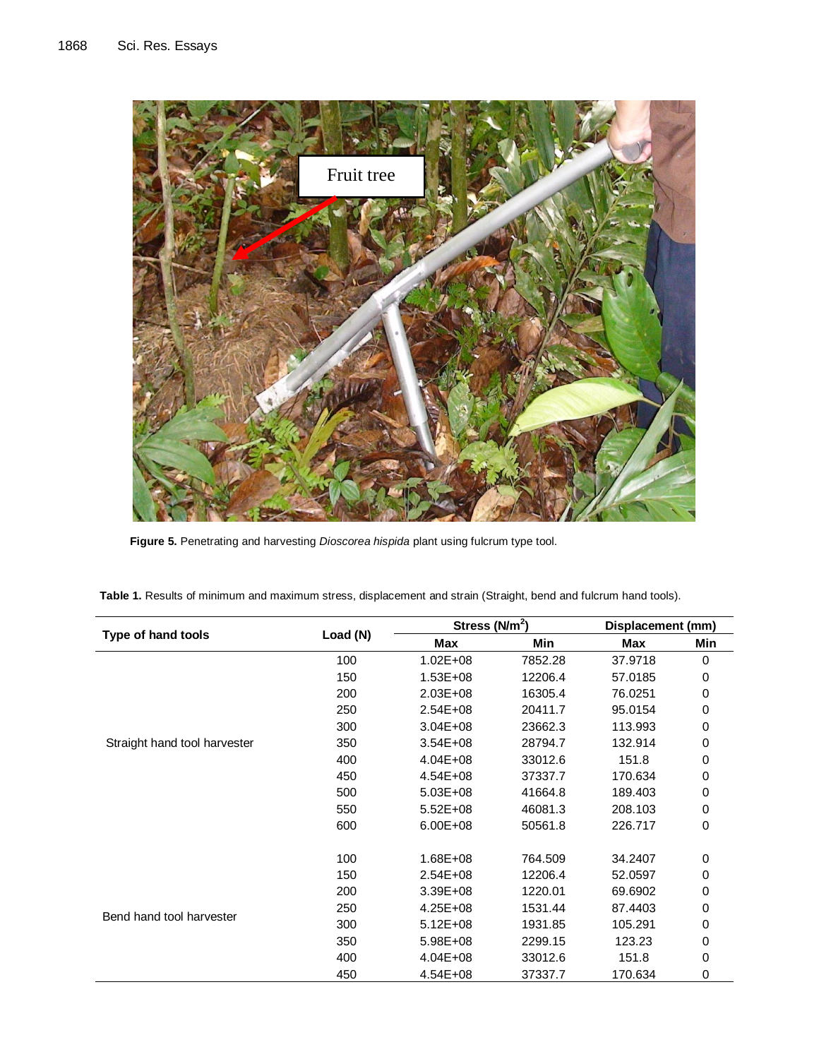

**Figure 5.** Penetrating and harvesting *Dioscorea hispida* plant using fulcrum type tool.

| Type of hand tools           | Load (N) | Stress $(N/m^2)$ |         | Displacement (mm) |                                                                                     |
|------------------------------|----------|------------------|---------|-------------------|-------------------------------------------------------------------------------------|
|                              |          | Max              | Min     | Max               | Min<br>0<br>0<br>0<br>0<br>0<br>0<br>0<br>0<br>0<br>0<br>0<br>0<br>0<br>$\mathsf 0$ |
|                              | 100      | $1.02E + 08$     | 7852.28 | 37.9718           |                                                                                     |
|                              | 150      | $1.53E + 08$     | 12206.4 | 57.0185           |                                                                                     |
|                              | 200      | $2.03E + 08$     | 16305.4 | 76.0251           |                                                                                     |
|                              | 250      | $2.54E + 08$     | 20411.7 | 95.0154           |                                                                                     |
|                              | 300      | $3.04E + 08$     | 23662.3 | 113.993           |                                                                                     |
| Straight hand tool harvester | 350      | $3.54E + 08$     | 28794.7 | 132.914           |                                                                                     |
|                              | 400      | $4.04E + 08$     | 33012.6 | 151.8             | 0<br>0<br>0                                                                         |
|                              | 450      | $4.54E + 08$     | 37337.7 | 170.634           |                                                                                     |
|                              | 500      | 5.03E+08         | 41664.8 | 189.403           |                                                                                     |
|                              | 550      | $5.52E + 08$     | 46081.3 | 208.103           |                                                                                     |
|                              | 600      | 6.00E+08         | 50561.8 | 226.717           |                                                                                     |
|                              | 100      | $1.68E + 08$     | 764.509 | 34.2407           |                                                                                     |
| Bend hand tool harvester     | 150      | $2.54E + 08$     | 12206.4 | 52.0597           |                                                                                     |
|                              | 200      | 3.39E+08         | 1220.01 | 69.6902           | 0                                                                                   |
|                              | 250      | $4.25E + 08$     | 1531.44 | 87.4403           |                                                                                     |
|                              | 300      | $5.12E + 08$     | 1931.85 | 105.291           |                                                                                     |
|                              | 350      | 5.98E+08         | 2299.15 | 123.23            |                                                                                     |
|                              | 400      | $4.04E + 08$     | 33012.6 | 151.8             |                                                                                     |
|                              | 450      | 4.54E+08         | 37337.7 | 170.634           | 0                                                                                   |

**Table 1.** Results of minimum and maximum stress, displacement and strain (Straight, bend and fulcrum hand tools).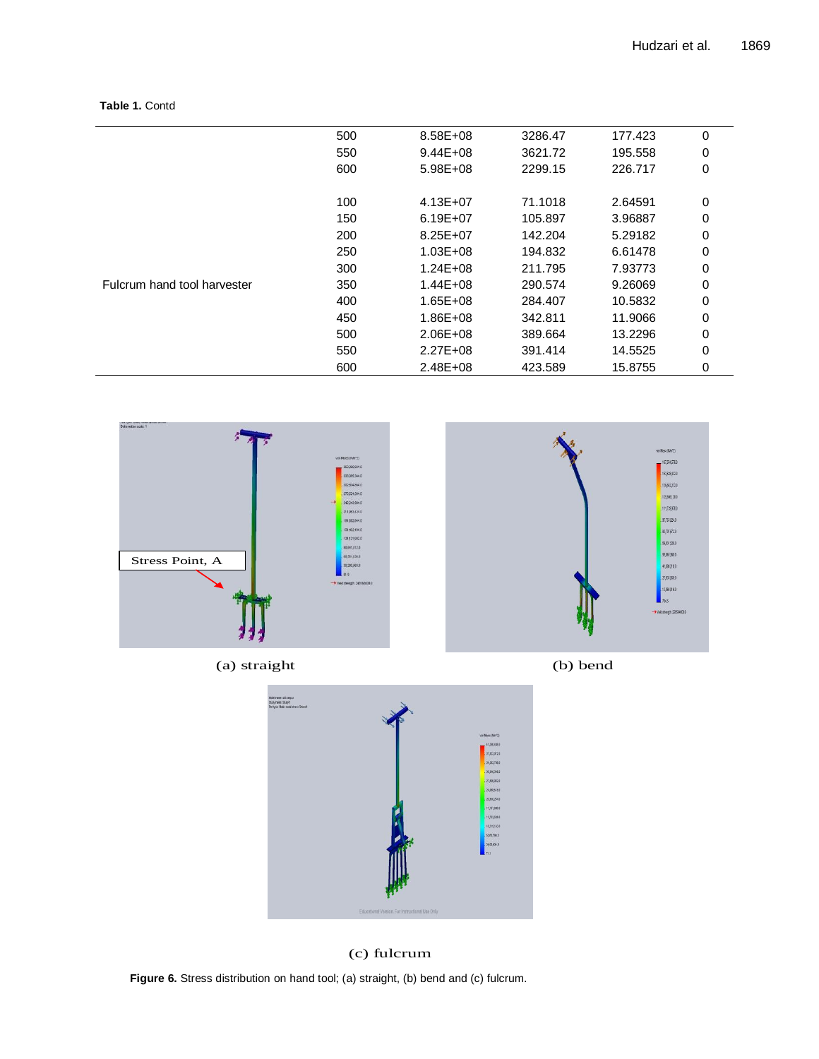#### **Table 1.** Contd

|                             | 500 | 8.58E+08     | 3286.47 | 177.423 | 0 |
|-----------------------------|-----|--------------|---------|---------|---|
|                             | 550 | $9.44E + 08$ | 3621.72 | 195.558 | 0 |
|                             | 600 | $5.98E + 08$ | 2299.15 | 226.717 | 0 |
|                             | 100 | $4.13E + 07$ | 71.1018 | 2.64591 | 0 |
|                             | 150 | 6.19E+07     | 105.897 | 3.96887 | 0 |
|                             | 200 | $8.25E + 07$ | 142.204 | 5.29182 | 0 |
|                             | 250 | $1.03E + 08$ | 194.832 | 6.61478 | 0 |
|                             | 300 | $1.24E + 08$ | 211.795 | 7.93773 | 0 |
| Fulcrum hand tool harvester | 350 | $1.44E + 08$ | 290.574 | 9.26069 | 0 |
|                             | 400 | $1.65E + 08$ | 284.407 | 10.5832 | 0 |
|                             | 450 | 1.86E+08     | 342.811 | 11.9066 | 0 |
|                             | 500 | 2.06E+08     | 389.664 | 13.2296 | 0 |
|                             | 550 | $2.27E + 08$ | 391.414 | 14.5525 | 0 |
|                             | 600 | 2.48E+08     | 423.589 | 15.8755 | 0 |





(c) fulcrum

Figure 6: Stress distribution on hand tool; (a) straight, (b) bend and (c) fulcrum **Figure 6.** Stress distribution on hand tool; (a) straight, (b) bend and (c) fulcrum.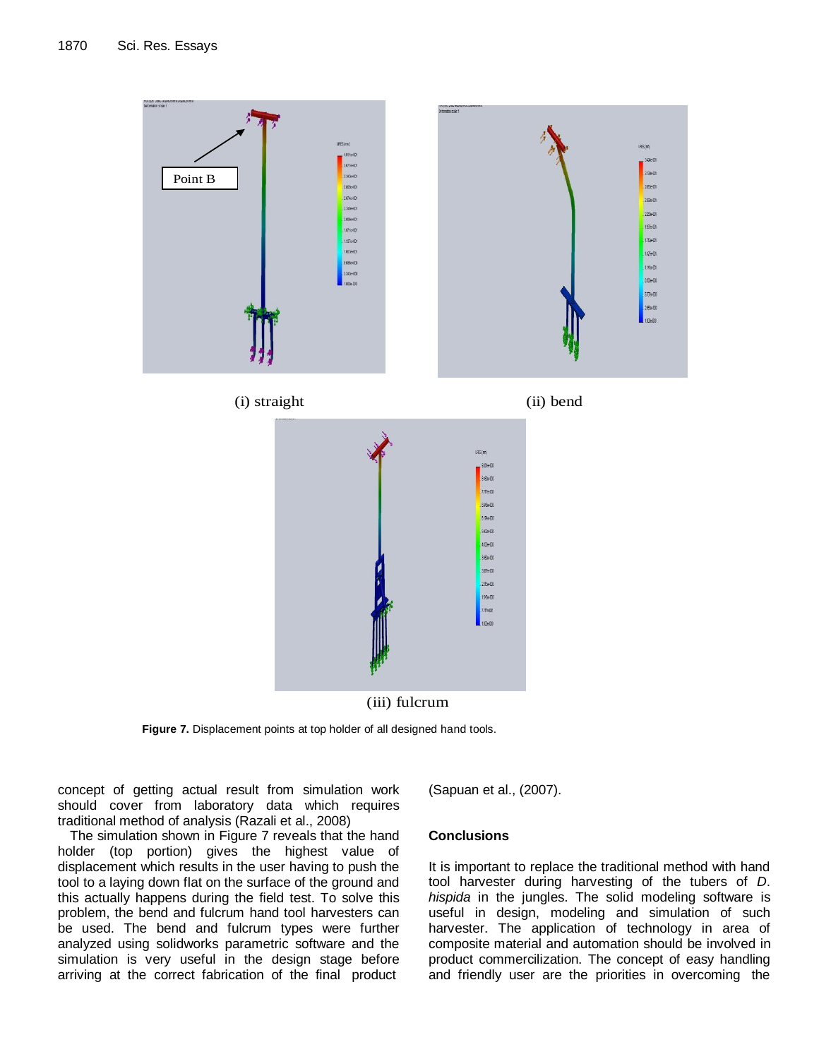



Figure 7: Displacement points at top holder of all designed hand tools **Figure 7.** Displacement points at top holder of all designed hand tools.

software software software was compared with an extremeling test. The stress of the stress should cover from laboratory data which requires traditional method of analysis (Razali et al., 2008) concept of getting actual result from simulation work

The simulation shown in Figure 7 reveals that the hand holder (top portion) gives the highest value of displacement which results in the user having to push the tool to a laying down flat on the surface of the ground and this actually happens during the field test. To solve this problem, the bend and fulcrum hand tool harvesters can be used. The bend and fulcrum types were further analyzed using solidworks parametric software and the simulation is very useful in the design stage before arriving at the correct fabrication of the final product (Sapuan et al., (2007).

#### **Conclusions**

It is important to replace the traditional method with hand tool harvester during harvesting of the tubers of *D*. *hispida* in the jungles. The solid modeling software is useful in design, modeling and simulation of such harvester. The application of technology in area of composite material and automation should be involved in product commercilization. The concept of easy handling and friendly user are the priorities in overcoming the